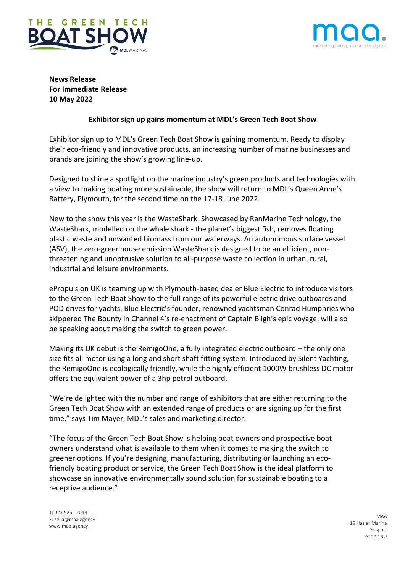



**News Release For Immediate Release 10 May 2022**

# **Exhibitor sign up gains momentum at MDL's Green Tech Boat Show**

Exhibitor sign up to MDL's Green Tech Boat Show is gaining momentum. Ready to display their eco-friendly and innovative products, an increasing number of marine businesses and brands are joining the show's growing line-up.

Designed to shine a spotlight on the marine industry's green products and technologies with a view to making boating more sustainable, the show will return to MDL's Queen Anne's Battery, Plymouth, for the second time on the 17-18 June 2022.

New to the show this year is the WasteShark. Showcased by RanMarine Technology, the WasteShark, modelled on the whale shark - the planet's biggest fish, removes floating plastic waste and unwanted biomass from our waterways. An autonomous surface vessel (ASV), the zero-greenhouse emission WasteShark is designed to be an efficient, nonthreatening and unobtrusive solution to all-purpose waste collection in urban, rural, industrial and leisure environments.

ePropulsion UK is teaming up with Plymouth-based dealer Blue Electric to introduce visitors to the Green Tech Boat Show to the full range of its powerful electric drive outboards and POD drives for yachts. Blue Electric's founder, renowned yachtsman Conrad Humphries who skippered The Bounty in Channel 4's re-enactment of Captain Bligh's epic voyage, will also be speaking about making the switch to green power.

Making its UK debut is the RemigoOne, a fully integrated electric outboard – the only one size fits all motor using a long and short shaft fitting system. Introduced by Silent Yachting, the RemigoOne is ecologically friendly, while the highly efficient 1000W brushless DC motor offers the equivalent power of a 3hp petrol outboard.

"We're delighted with the number and range of exhibitors that are either returning to the Green Tech Boat Show with an extended range of products or are signing up for the first time," says Tim Mayer, MDL's sales and marketing director.

"The focus of the Green Tech Boat Show is helping boat owners and prospective boat owners understand what is available to them when it comes to making the switch to greener options. If you're designing, manufacturing, distributing or launching an ecofriendly boating product or service, the Green Tech Boat Show is the ideal platform to showcase an innovative environmentally sound solution for sustainable boating to a receptive audience."

T: 023 9252 2044 E: zella@maa.agency www.maa.agency

MAA 15 Haslar Marina Gosport PO12 1NU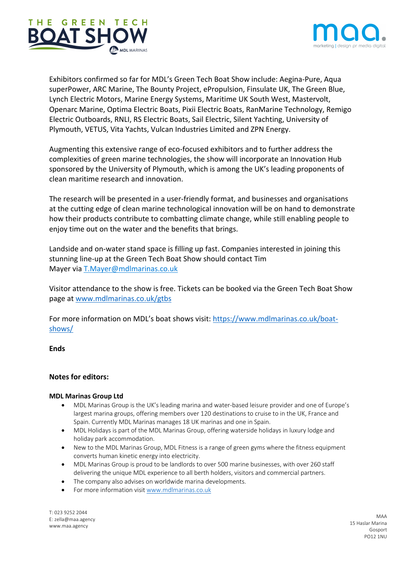



Exhibitors confirmed so far for MDL's Green Tech Boat Show include: Aegina-Pure, Aqua superPower, ARC Marine, The Bounty Project, ePropulsion, Finsulate UK, The Green Blue, Lynch Electric Motors, Marine Energy Systems, Maritime UK South West, Mastervolt, Openarc Marine, Optima Electric Boats, Pixii Electric Boats, RanMarine Technology, Remigo Electric Outboards, RNLI, RS Electric Boats, Sail Electric, Silent Yachting, University of Plymouth, VETUS, Vita Yachts, Vulcan Industries Limited and ZPN Energy.

Augmenting this extensive range of eco-focused exhibitors and to further address the complexities of green marine technologies, the show will incorporate an Innovation Hub sponsored by the University of Plymouth, which is among the UK's leading proponents of clean maritime research and innovation.

The research will be presented in a user-friendly format, and businesses and organisations at the cutting edge of clean marine technological innovation will be on hand to demonstrate how their products contribute to combatting climate change, while still enabling people to enjoy time out on the water and the benefits that brings.

Landside and on-water stand space is filling up fast. Companies interested in joining this stunning line-up at the Green Tech Boat Show should contact Tim Mayer via T.Mayer@mdlmarinas.co.uk

Visitor attendance to the show is free. Tickets can be booked via the Green Tech Boat Show page at www.mdlmarinas.co.uk/gtbs

For more information on MDL's boat shows visit: https://www.mdlmarinas.co.uk/boatshows/

### **Ends**

### **Notes for editors:**

### **MDL Marinas Group Ltd**

- MDL Marinas Group is the UK's leading marina and water-based leisure provider and one of Europe's largest marina groups, offering members over 120 destinations to cruise to in the UK, France and Spain. Currently MDL Marinas manages 18 UK marinas and one in Spain.
- MDL Holidays is part of the MDL Marinas Group, offering waterside holidays in luxury lodge and holiday park accommodation.
- New to the MDL Marinas Group, MDL Fitness is a range of green gyms where the fitness equipment converts human kinetic energy into electricity.
- MDL Marinas Group is proud to be landlords to over 500 marine businesses, with over 260 staff delivering the unique MDL experience to all berth holders, visitors and commercial partners.
- The company also advises on worldwide marina developments.
- For more information visit www.mdlmarinas.co.uk

T: 023 9252 2044 E: zella@maa.agency www.maa.agency

MAA 15 Haslar Marina Gosport PO12 1NU